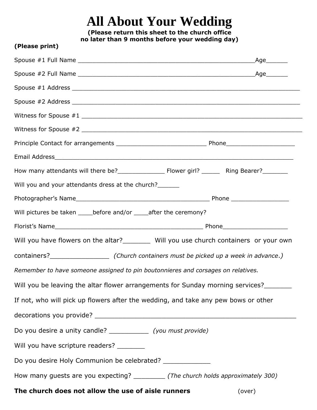## **All About Your Wedding**

**(Please return this sheet to the church office no later than 9 months before your wedding day)**

**(Please print)**

| Will you and your attendants dress at the church?                                       |        |
|-----------------------------------------------------------------------------------------|--------|
|                                                                                         |        |
| Will pictures be taken _____ before and/or _____ after the ceremony?                    |        |
|                                                                                         |        |
| Will you have flowers on the altar?_________ Will you use church containers or your own |        |
|                                                                                         |        |
| Remember to have someone assigned to pin boutonnieres and corsages on relatives.        |        |
| Will you be leaving the altar flower arrangements for Sunday morning services?          |        |
| If not, who will pick up flowers after the wedding, and take any pew bows or other      |        |
|                                                                                         |        |
| Do you desire a unity candle? ______________ (you must provide)                         |        |
| Will you have scripture readers? _________                                              |        |
| Do you desire Holy Communion be celebrated? _____________                               |        |
| How many guests are you expecting? __________ (The church holds approximately 300)      |        |
| The church does not allow the use of aisle runners                                      | (over) |